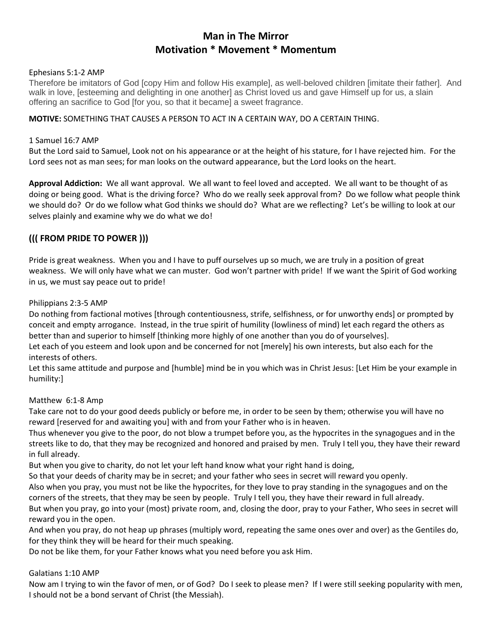# **Man in The Mirror Motivation \* Movement \* Momentum**

#### Ephesians 5:1-2 AMP

Therefore be imitators of God [copy Him and follow His example], as well-beloved children [imitate their father]. And walk in love, [esteeming and delighting in one another] as Christ loved us and gave Himself up for us, a slain offering an sacrifice to God [for you, so that it became] a sweet fragrance.

#### **MOTIVE:** SOMETHING THAT CAUSES A PERSON TO ACT IN A CERTAIN WAY, DO A CERTAIN THING.

#### 1 Samuel 16:7 AMP

But the Lord said to Samuel, Look not on his appearance or at the height of his stature, for I have rejected him. For the Lord sees not as man sees; for man looks on the outward appearance, but the Lord looks on the heart.

**Approval Addiction:** We all want approval. We all want to feel loved and accepted. We all want to be thought of as doing or being good. What is the driving force? Who do we really seek approval from? Do we follow what people think we should do? Or do we follow what God thinks we should do? What are we reflecting? Let's be willing to look at our selves plainly and examine why we do what we do!

## **((( FROM PRIDE TO POWER )))**

Pride is great weakness. When you and I have to puff ourselves up so much, we are truly in a position of great weakness. We will only have what we can muster. God won't partner with pride! If we want the Spirit of God working in us, we must say peace out to pride!

#### Philippians 2:3-5 AMP

Do nothing from factional motives [through contentiousness, strife, selfishness, or for unworthy ends] or prompted by conceit and empty arrogance. Instead, in the true spirit of humility (lowliness of mind) let each regard the others as better than and superior to himself [thinking more highly of one another than you do of yourselves].

Let each of you esteem and look upon and be concerned for not [merely] his own interests, but also each for the interests of others.

Let this same attitude and purpose and [humble] mind be in you which was in Christ Jesus: [Let Him be your example in humility:]

#### Matthew 6:1-8 Amp

Take care not to do your good deeds publicly or before me, in order to be seen by them; otherwise you will have no reward [reserved for and awaiting you] with and from your Father who is in heaven.

Thus whenever you give to the poor, do not blow a trumpet before you, as the hypocrites in the synagogues and in the streets like to do, that they may be recognized and honored and praised by men. Truly I tell you, they have their reward in full already.

But when you give to charity, do not let your left hand know what your right hand is doing,

So that your deeds of charity may be in secret; and your father who sees in secret will reward you openly.

Also when you pray, you must not be like the hypocrites, for they love to pray standing in the synagogues and on the corners of the streets, that they may be seen by people. Truly I tell you, they have their reward in full already.

But when you pray, go into your (most) private room, and, closing the door, pray to your Father, Who sees in secret will reward you in the open.

And when you pray, do not heap up phrases (multiply word, repeating the same ones over and over) as the Gentiles do, for they think they will be heard for their much speaking.

Do not be like them, for your Father knows what you need before you ask Him.

#### Galatians 1:10 AMP

Now am I trying to win the favor of men, or of God? Do I seek to please men? If I were still seeking popularity with men, I should not be a bond servant of Christ (the Messiah).